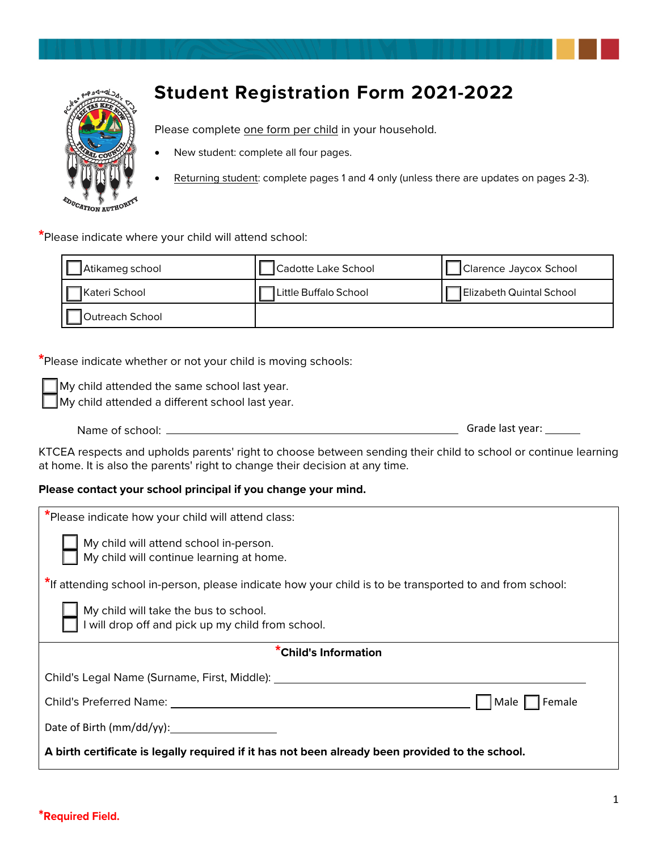

# **Student Registration Form 2021-2022**

Please complete one form per child in your household.

- New student: complete all four pages.
- Returning student: complete pages 1 and 4 only (unless there are updates on pages 2-3).

**\***Please indicate where your child will attend school:

| Atikameg school        | Cadotte Lake School   | Clarence Jaycox School   |
|------------------------|-----------------------|--------------------------|
| <b>I</b> Kateri School | Little Buffalo School | Elizabeth Quintal School |
| Outreach School        |                       |                          |

**\***Please indicate whether or not your child is moving schools:

My child attended the same school last year.

My child attended a different school last year.

| Name of school: | Grade last year: |
|-----------------|------------------|
|                 |                  |

KTCEA respects and upholds parents' right to choose between sending their child to school or continue learning at home. It is also the parents' right to change their decision at any time.

## **Please contact your school principal if you change your mind.**

| *Please indicate how your child will attend class:                                                      |  |  |
|---------------------------------------------------------------------------------------------------------|--|--|
| My child will attend school in-person.<br>My child will continue learning at home.                      |  |  |
| *If attending school in-person, please indicate how your child is to be transported to and from school: |  |  |
| My child will take the bus to school.<br>I will drop off and pick up my child from school.              |  |  |
| *Child's Information                                                                                    |  |  |
| Child's Legal Name (Surname, First, Middle):                                                            |  |  |
| Child's Preferred Name: The Child's Preferred Name:<br>Male<br>Female                                   |  |  |
| Date of Birth (mm/dd/yy):                                                                               |  |  |
| A birth certificate is legally required if it has not been already been provided to the school.         |  |  |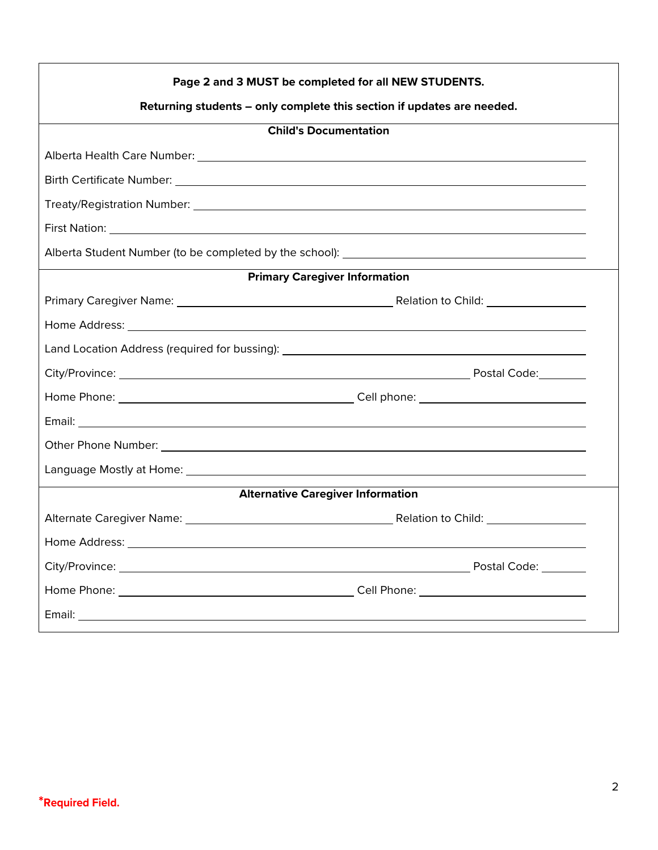| Page 2 and 3 MUST be completed for all NEW STUDENTS.                                                          |              |  |  |
|---------------------------------------------------------------------------------------------------------------|--------------|--|--|
| Returning students - only complete this section if updates are needed.                                        |              |  |  |
| <b>Child's Documentation</b>                                                                                  |              |  |  |
|                                                                                                               |              |  |  |
|                                                                                                               |              |  |  |
|                                                                                                               |              |  |  |
|                                                                                                               |              |  |  |
|                                                                                                               |              |  |  |
| <b>Primary Caregiver Information</b>                                                                          |              |  |  |
| Primary Caregiver Name: 2008 and 2009 and 2009 and 2009 and 2009 and 2009 and 2009 and 2009 and 2009 and 2009 |              |  |  |
|                                                                                                               |              |  |  |
|                                                                                                               |              |  |  |
|                                                                                                               |              |  |  |
|                                                                                                               |              |  |  |
|                                                                                                               |              |  |  |
|                                                                                                               |              |  |  |
|                                                                                                               |              |  |  |
| <b>Alternative Caregiver Information</b>                                                                      |              |  |  |
|                                                                                                               |              |  |  |
| Home Address:                                                                                                 |              |  |  |
|                                                                                                               | Postal Code: |  |  |
|                                                                                                               |              |  |  |
|                                                                                                               |              |  |  |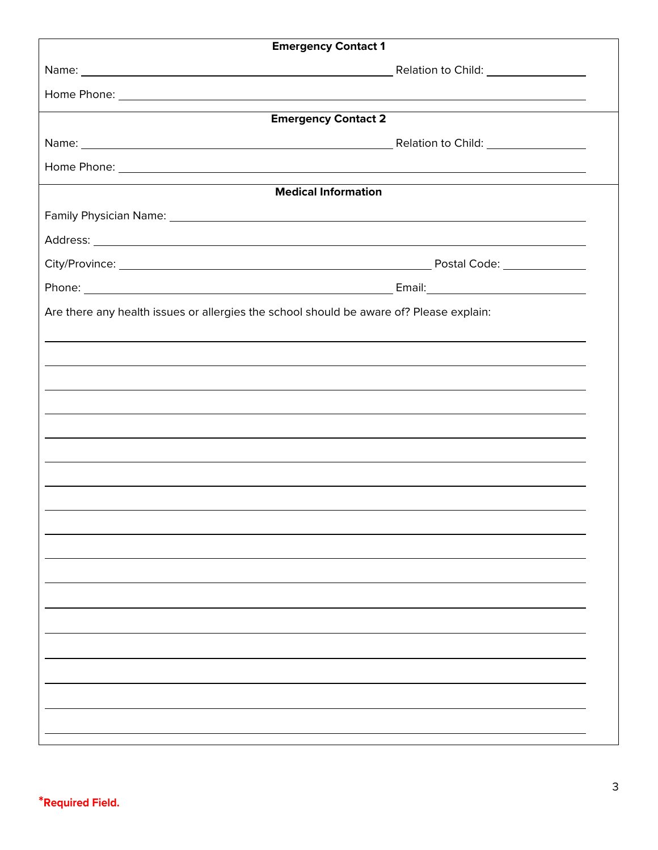| <b>Emergency Contact 1</b>                                                              |  |  |  |  |
|-----------------------------------------------------------------------------------------|--|--|--|--|
|                                                                                         |  |  |  |  |
|                                                                                         |  |  |  |  |
| <b>Emergency Contact 2</b>                                                              |  |  |  |  |
|                                                                                         |  |  |  |  |
|                                                                                         |  |  |  |  |
| <b>Medical Information</b>                                                              |  |  |  |  |
|                                                                                         |  |  |  |  |
|                                                                                         |  |  |  |  |
|                                                                                         |  |  |  |  |
|                                                                                         |  |  |  |  |
| Are there any health issues or allergies the school should be aware of? Please explain: |  |  |  |  |
|                                                                                         |  |  |  |  |
|                                                                                         |  |  |  |  |
|                                                                                         |  |  |  |  |
|                                                                                         |  |  |  |  |
| ,我们也不会有什么。""我们的人,我们也不会有什么?""我们的人,我们也不会有什么?""我们的人,我们也不会有什么?""我们的人,我们也不会有什么?""我们的人        |  |  |  |  |
| ,我们也不会有什么。""我们的人,我们也不会有什么?""我们的人,我们也不会有什么?""我们的人,我们也不会有什么?""我们的人,我们也不会有什么?""我们的人        |  |  |  |  |
|                                                                                         |  |  |  |  |
| ,我们也不会有什么。""我们的人,我们也不会有什么?""我们的人,我们也不会有什么?""我们的人,我们也不会有什么?""我们的人,我们也不会有什么?""我们的人        |  |  |  |  |
|                                                                                         |  |  |  |  |
|                                                                                         |  |  |  |  |
|                                                                                         |  |  |  |  |
|                                                                                         |  |  |  |  |
|                                                                                         |  |  |  |  |
|                                                                                         |  |  |  |  |
|                                                                                         |  |  |  |  |
|                                                                                         |  |  |  |  |
|                                                                                         |  |  |  |  |
|                                                                                         |  |  |  |  |
|                                                                                         |  |  |  |  |